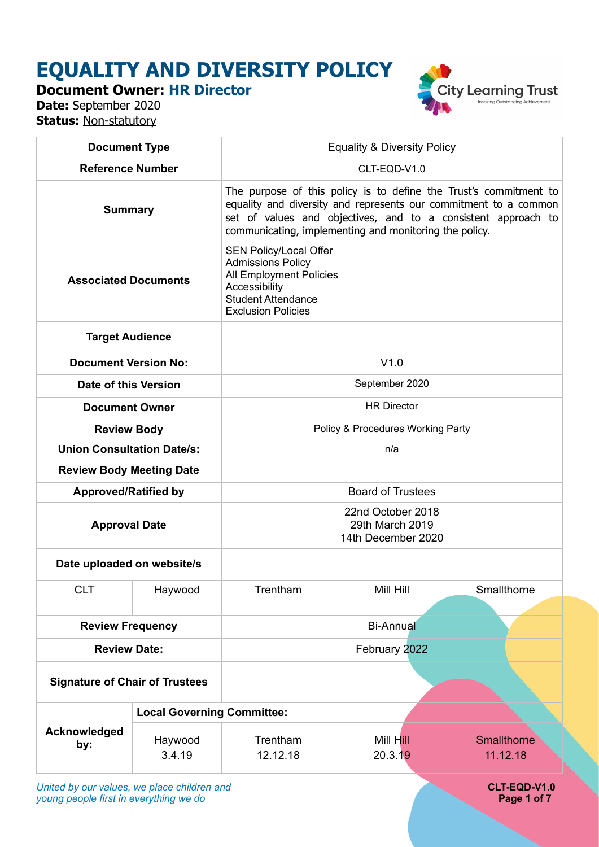# **EQUALITY AND DIVERSITY POLICY**

**Document Owner: HR Director**

**Date:** September 2020 **Status: Non-statutory** 



| <b>Document Type</b>                        |                                   | <b>Equality &amp; Diversity Policy</b>                                                                                                                                                                                                                           |                      |                         |
|---------------------------------------------|-----------------------------------|------------------------------------------------------------------------------------------------------------------------------------------------------------------------------------------------------------------------------------------------------------------|----------------------|-------------------------|
| <b>Reference Number</b>                     |                                   | CLT-EQD-V1.0                                                                                                                                                                                                                                                     |                      |                         |
| <b>Summary</b>                              |                                   | The purpose of this policy is to define the Trust's commitment to<br>equality and diversity and represents our commitment to a common<br>set of values and objectives, and to a consistent approach to<br>communicating, implementing and monitoring the policy. |                      |                         |
| <b>Associated Documents</b>                 |                                   | <b>SEN Policy/Local Offer</b><br><b>Admissions Policy</b><br>All Employment Policies<br>Accessibility<br><b>Student Attendance</b><br><b>Exclusion Policies</b>                                                                                                  |                      |                         |
| <b>Target Audience</b>                      |                                   |                                                                                                                                                                                                                                                                  |                      |                         |
| <b>Document Version No:</b>                 |                                   | V1.0                                                                                                                                                                                                                                                             |                      |                         |
| Date of this Version                        |                                   | September 2020                                                                                                                                                                                                                                                   |                      |                         |
| <b>Document Owner</b>                       |                                   | <b>HR Director</b>                                                                                                                                                                                                                                               |                      |                         |
| <b>Review Body</b>                          |                                   | Policy & Procedures Working Party                                                                                                                                                                                                                                |                      |                         |
| <b>Union Consultation Date/s:</b>           |                                   | n/a                                                                                                                                                                                                                                                              |                      |                         |
| <b>Review Body Meeting Date</b>             |                                   |                                                                                                                                                                                                                                                                  |                      |                         |
| <b>Approved/Ratified by</b>                 |                                   | <b>Board of Trustees</b>                                                                                                                                                                                                                                         |                      |                         |
| <b>Approval Date</b>                        |                                   | 22nd October 2018<br>29th March 2019<br>14th December 2020                                                                                                                                                                                                       |                      |                         |
| Date uploaded on website/s                  |                                   |                                                                                                                                                                                                                                                                  |                      |                         |
| <b>CLT</b>                                  | Haywood                           | Trentham                                                                                                                                                                                                                                                         | Mill Hill            | Smallthorne             |
| <b>Review Frequency</b>                     |                                   |                                                                                                                                                                                                                                                                  | <b>Bi-Annual</b>     |                         |
| <b>Review Date:</b>                         |                                   |                                                                                                                                                                                                                                                                  | February 2022        |                         |
| <b>Signature of Chair of Trustees</b>       |                                   |                                                                                                                                                                                                                                                                  |                      |                         |
|                                             | <b>Local Governing Committee:</b> |                                                                                                                                                                                                                                                                  |                      |                         |
| Acknowledged<br>by:                         | Haywood<br>3.4.19                 | Trentham<br>12.12.18                                                                                                                                                                                                                                             | Mill Hill<br>20.3.19 | Smallthorne<br>11.12.18 |
| United by our values, we place children and |                                   |                                                                                                                                                                                                                                                                  |                      | CLT-EQD-V1.0            |

*young people first in everything we do* **Page 1 of 7 Page 1 of 7 Page 1 of 7**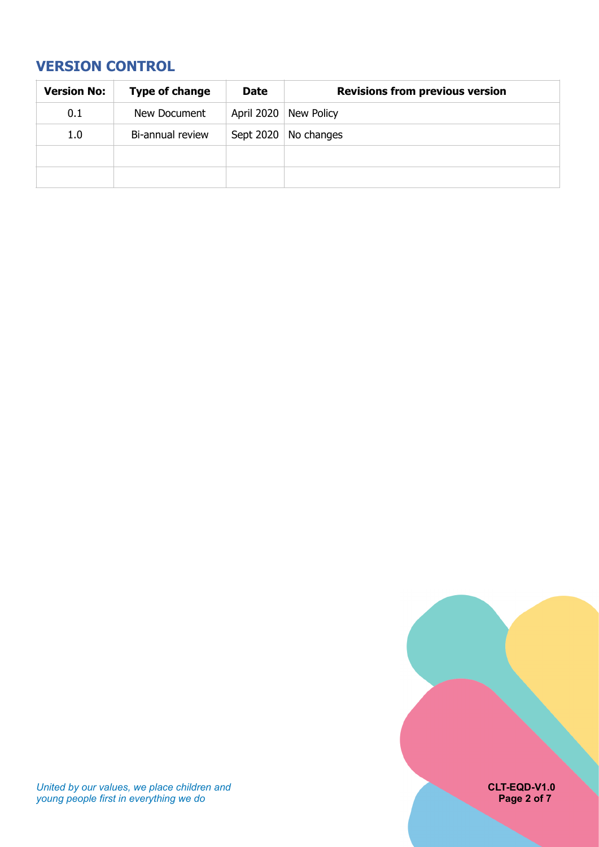# <span id="page-1-0"></span>**VERSION CONTROL**

| <b>Version No:</b> | Type of change   | <b>Date</b> | <b>Revisions from previous version</b> |
|--------------------|------------------|-------------|----------------------------------------|
| 0.1                | New Document     |             | April 2020 New Policy                  |
| 1.0                | Bi-annual review |             | Sept 2020   No changes                 |
|                    |                  |             |                                        |
|                    |                  |             |                                        |

*United by our values, we place children and* **CLT-EQD-V1.0**  *young people first in everything we do* **Page 2 of 7 Page 2 of 7 Page 2 of 7**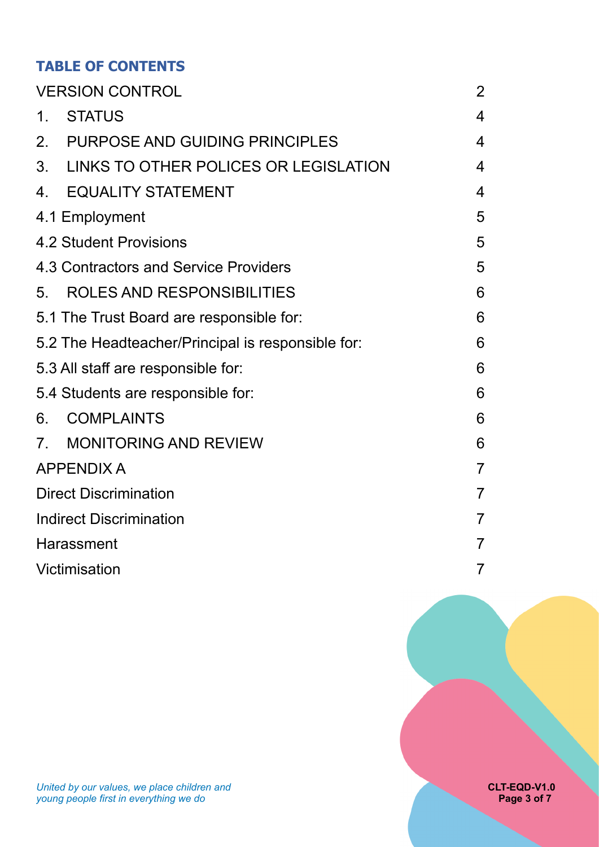# **TABLE OF CONTENTS**

| <b>VERSION CONTROL</b>           |                                                   |                          |  |
|----------------------------------|---------------------------------------------------|--------------------------|--|
| $1_{\cdot}$                      | <b>STATUS</b>                                     | 4                        |  |
| $2_{\cdot}$                      | <b>PURPOSE AND GUIDING PRINCIPLES</b>             | $\overline{4}$           |  |
| 3.                               | LINKS TO OTHER POLICES OR LEGISLATION             | $\overline{\mathcal{A}}$ |  |
| $\overline{4}$ .                 | <b>EQUALITY STATEMENT</b>                         | $\overline{4}$           |  |
|                                  | 4.1 Employment                                    | 5                        |  |
|                                  | 4.2 Student Provisions                            | 5                        |  |
|                                  | 4.3 Contractors and Service Providers             | 5                        |  |
| 5.                               | ROLES AND RESPONSIBILITIES                        | 6                        |  |
|                                  | 5.1 The Trust Board are responsible for:          | 6                        |  |
|                                  | 5.2 The Headteacher/Principal is responsible for: | 6                        |  |
|                                  | 5.3 All staff are responsible for:                | 6                        |  |
|                                  | 5.4 Students are responsible for:                 | 6                        |  |
| 6.                               | <b>COMPLAINTS</b>                                 | 6                        |  |
| $7_{\scriptscriptstyle{\ddots}}$ | <b>MONITORING AND REVIEW</b>                      | 6                        |  |
|                                  | <b>APPENDIX A</b>                                 |                          |  |
|                                  | <b>Direct Discrimination</b>                      |                          |  |
| <b>Indirect Discrimination</b>   |                                                   |                          |  |
| Harassment                       |                                                   |                          |  |
| Victimisation                    |                                                   |                          |  |

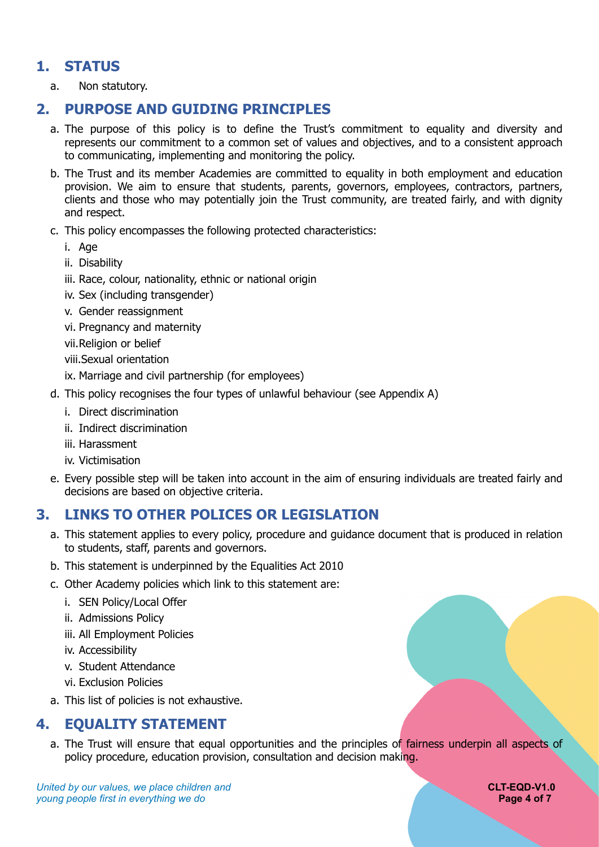# **1. STATUS**

<span id="page-3-1"></span><span id="page-3-0"></span>a. Non statutory.

# **2. PURPOSE AND GUIDING PRINCIPLES**

- a. The purpose of this policy is to define the Trust's commitment to equality and diversity and represents our commitment to a common set of values and objectives, and to a consistent approach to communicating, implementing and monitoring the policy.
- b. The Trust and its member Academies are committed to equality in both employment and education provision. We aim to ensure that students, parents, governors, employees, contractors, partners, clients and those who may potentially join the Trust community, are treated fairly, and with dignity and respect.
- c. This policy encompasses the following protected characteristics:
	- i. Age
	- ii. Disability
	- iii. Race, colour, nationality, ethnic or national origin
	- iv. Sex (including transgender)
	- v. Gender reassignment
	- vi. Pregnancy and maternity
	- vii.Religion or belief
	- viii.Sexual orientation
	- ix. Marriage and civil partnership (for employees)
- d. This policy recognises the four types of unlawful behaviour (see Appendix A)
	- i. Direct discrimination
	- ii. Indirect discrimination
	- iii. Harassment
	- iv. Victimisation
- e. Every possible step will be taken into account in the aim of ensuring individuals are treated fairly and decisions are based on objective criteria.

# **3. LINKS TO OTHER POLICES OR LEGISLATION**

- <span id="page-3-2"></span>a. This statement applies to every policy, procedure and guidance document that is produced in relation to students, staff, parents and governors.
- b. This statement is underpinned by the Equalities Act 2010
- c. Other Academy policies which link to this statement are:
	- i. SEN Policy/Local Offer
	- ii. Admissions Policy
	- iii. All Employment Policies
	- iv. Accessibility
	- v. Student Attendance
	- vi. Exclusion Policies
- <span id="page-3-3"></span>a. This list of policies is not exhaustive.

# **4. EQUALITY STATEMENT**

a. The Trust will ensure that equal opportunities and the principles of fairness underpin all aspects of policy procedure, education provision, consultation and decision making.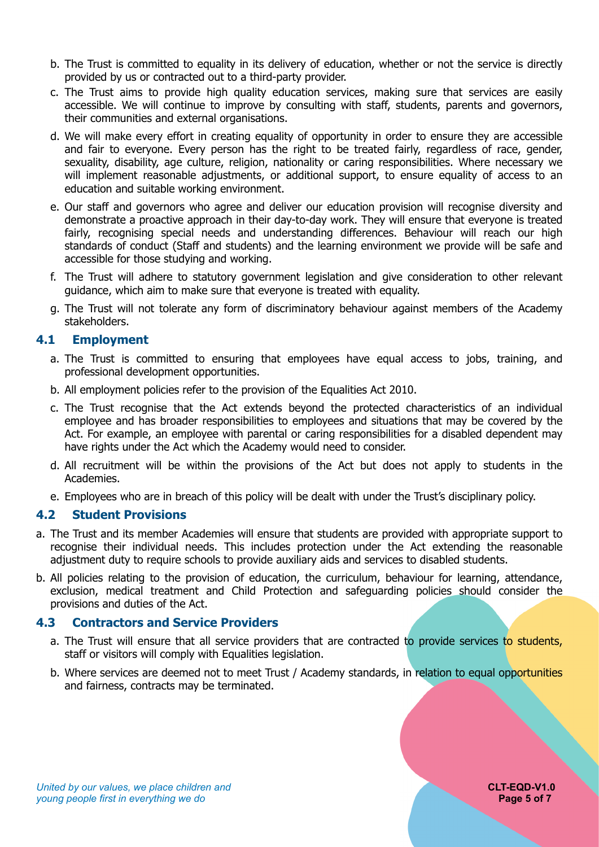- b. The Trust is committed to equality in its delivery of education, whether or not the service is directly provided by us or contracted out to a third-party provider.
- c. The Trust aims to provide high quality education services, making sure that services are easily accessible. We will continue to improve by consulting with staff, students, parents and governors, their communities and external organisations.
- d. We will make every effort in creating equality of opportunity in order to ensure they are accessible and fair to everyone. Every person has the right to be treated fairly, regardless of race, gender, sexuality, disability, age culture, religion, nationality or caring responsibilities. Where necessary we will implement reasonable adjustments, or additional support, to ensure equality of access to an education and suitable working environment.
- e. Our staff and governors who agree and deliver our education provision will recognise diversity and demonstrate a proactive approach in their day-to-day work. They will ensure that everyone is treated fairly, recognising special needs and understanding differences. Behaviour will reach our high standards of conduct (Staff and students) and the learning environment we provide will be safe and accessible for those studying and working.
- f. The Trust will adhere to statutory government legislation and give consideration to other relevant guidance, which aim to make sure that everyone is treated with equality.
- g. The Trust will not tolerate any form of discriminatory behaviour against members of the Academy stakeholders.

## <span id="page-4-0"></span>**4.1 Employment**

- a. The Trust is committed to ensuring that employees have equal access to jobs, training, and professional development opportunities.
- b. All employment policies refer to the provision of the Equalities Act 2010.
- c. The Trust recognise that the Act extends beyond the protected characteristics of an individual employee and has broader responsibilities to employees and situations that may be covered by the Act. For example, an employee with parental or caring responsibilities for a disabled dependent may have rights under the Act which the Academy would need to consider.
- d. All recruitment will be within the provisions of the Act but does not apply to students in the Academies.
- e. Employees who are in breach of this policy will be dealt with under the Trust's disciplinary policy.

#### <span id="page-4-1"></span>**4.2 Student Provisions**

- a. The Trust and its member Academies will ensure that students are provided with appropriate support to recognise their individual needs. This includes protection under the Act extending the reasonable adjustment duty to require schools to provide auxiliary aids and services to disabled students.
- b. All policies relating to the provision of education, the curriculum, behaviour for learning, attendance, exclusion, medical treatment and Child Protection and safeguarding policies should consider the provisions and duties of the Act.

#### <span id="page-4-2"></span>**4.3 Contractors and Service Providers**

- a. The Trust will ensure that all service providers that are contracted to provide services to students, staff or visitors will comply with Equalities legislation.
- b. Where services are deemed not to meet Trust / Academy standards, in relation to equal opportunities and fairness, contracts may be terminated.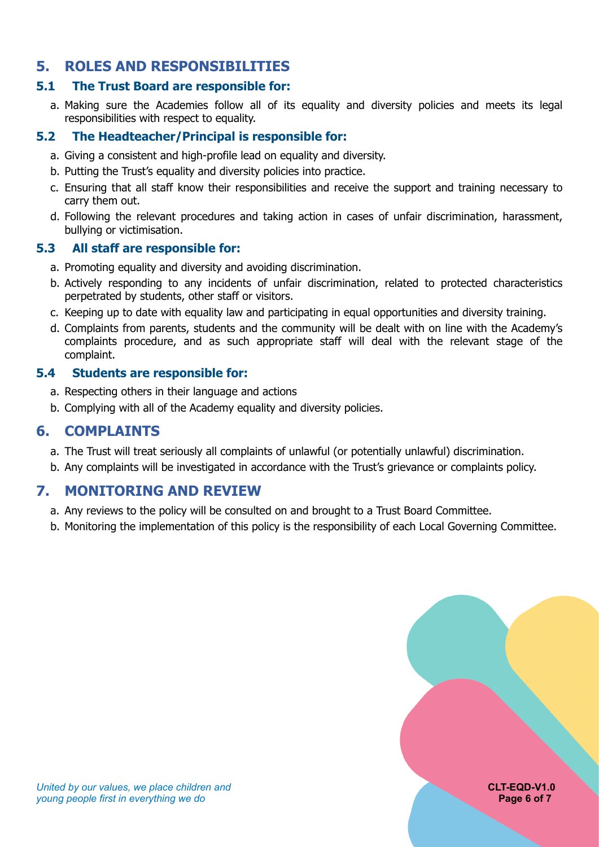# <span id="page-5-0"></span>**5. ROLES AND RESPONSIBILITIES**

## <span id="page-5-1"></span>**5.1 The Trust Board are responsible for:**

a. Making sure the Academies follow all of its equality and diversity policies and meets its legal responsibilities with respect to equality.

## <span id="page-5-2"></span>**5.2 The Headteacher/Principal is responsible for:**

- a. Giving a consistent and high-profile lead on equality and diversity.
- b. Putting the Trust's equality and diversity policies into practice.
- c. Ensuring that all staff know their responsibilities and receive the support and training necessary to carry them out.
- d. Following the relevant procedures and taking action in cases of unfair discrimination, harassment, bullying or victimisation.

## <span id="page-5-3"></span>**5.3 All staff are responsible for:**

- a. Promoting equality and diversity and avoiding discrimination.
- b. Actively responding to any incidents of unfair discrimination, related to protected characteristics perpetrated by students, other staff or visitors.
- c. Keeping up to date with equality law and participating in equal opportunities and diversity training.
- d. Complaints from parents, students and the community will be dealt with on line with the Academy's complaints procedure, and as such appropriate staff will deal with the relevant stage of the complaint.

## <span id="page-5-4"></span>**5.4 Students are responsible for:**

- a. Respecting others in their language and actions
- <span id="page-5-5"></span>b. Complying with all of the Academy equality and diversity policies.

# **6. COMPLAINTS**

- a. The Trust will treat seriously all complaints of unlawful (or potentially unlawful) discrimination.
- <span id="page-5-6"></span>b. Any complaints will be investigated in accordance with the Trust's grievance or complaints policy.

# **7. MONITORING AND REVIEW**

- a. Any reviews to the policy will be consulted on and brought to a Trust Board Committee.
- b. Monitoring the implementation of this policy is the responsibility of each Local Governing Committee.